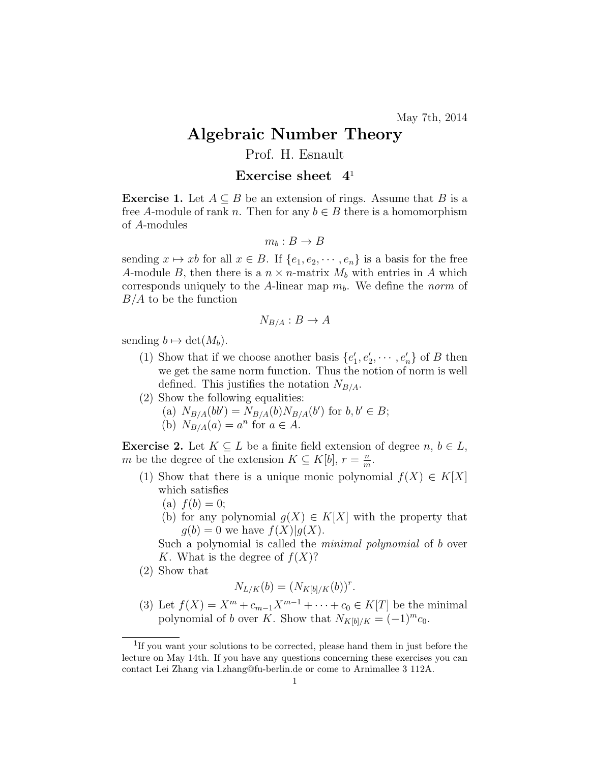## Algebraic Number Theory

## Prof. H. Esnault

## Exercise sheet  $4<sup>1</sup>$

**Exercise 1.** Let  $A \subseteq B$  be an extension of rings. Assume that B is a free A-module of rank n. Then for any  $b \in B$  there is a homomorphism of A-modules

$$
m_b: B \to B
$$

sending  $x \mapsto xb$  for all  $x \in B$ . If  $\{e_1, e_2, \dots, e_n\}$  is a basis for the free A-module B, then there is a  $n \times n$ -matrix  $M_b$  with entries in A which corresponds uniquely to the A-linear map  $m_b$ . We define the norm of  $B/A$  to be the function

$$
N_{B/A}: B \to A
$$

sending  $b \mapsto \det(M_b)$ .

- (1) Show that if we choose another basis  $\{e'_1, e'_2, \cdots, e'_n\}$  of B then we get the same norm function. Thus the notion of norm is well defined. This justifies the notation  $N_{B/A}$ .
- (2) Show the following equalities:
	- (a)  $N_{B/A}(bb') = N_{B/A}(b)N_{B/A}(b')$  for  $b, b' \in B$ ;
	- (b)  $N_{B/A}(a) = a^n$  for  $a \in A$ .

**Exercise 2.** Let  $K \subseteq L$  be a finite field extension of degree  $n, b \in L$ , m be the degree of the extension  $K \subseteq K[b], r = \frac{n}{m}$  $\frac{n}{m}$ .

- (1) Show that there is a unique monic polynomial  $f(X) \in K[X]$ which satisfies
	- (a)  $f(b) = 0$ ;
	- (b) for any polynomial  $g(X) \in K[X]$  with the property that  $g(b) = 0$  we have  $f(X)|g(X)$ .

Such a polynomial is called the *minimal polynomial* of b over K. What is the degree of  $f(X)$ ?

(2) Show that

$$
N_{L/K}(b) = (N_{K[b]/K}(b))^r
$$
.

(3) Let  $f(X) = X^m + c_{m-1}X^{m-1} + \cdots + c_0 \in K[T]$  be the minimal polynomial of b over K. Show that  $N_{K[b]/K} = (-1)^m c_0$ .

<sup>&</sup>lt;sup>1</sup>If you want your solutions to be corrected, please hand them in just before the lecture on May 14th. If you have any questions concerning these exercises you can contact Lei Zhang via l.zhang@fu-berlin.de or come to Arnimallee 3 112A.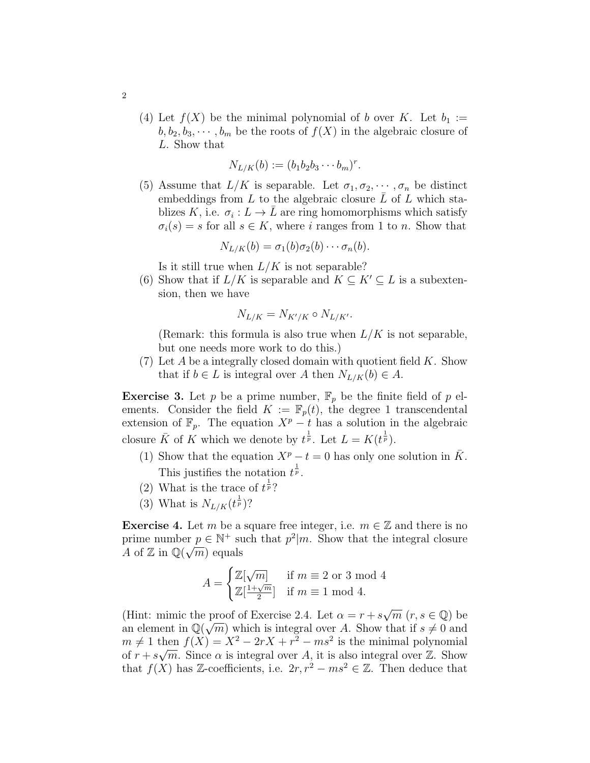(4) Let  $f(X)$  be the minimal polynomial of b over K. Let  $b_1 :=$  $b, b_2, b_3, \dots, b_m$  be the roots of  $f(X)$  in the algebraic closure of L. Show that

$$
N_{L/K}(b) := (b_1b_2b_3\cdots b_m)^r.
$$

(5) Assume that  $L/K$  is separable. Let  $\sigma_1, \sigma_2, \cdots, \sigma_n$  be distinct embeddings from  $L$  to the algebraic closure  $\overline{L}$  of  $L$  which stablizes K, i.e.  $\sigma_i: L \to \overline{L}$  are ring homomorphisms which satisfy  $\sigma_i(s) = s$  for all  $s \in K$ , where i ranges from 1 to n. Show that

$$
N_{L/K}(b) = \sigma_1(b)\sigma_2(b)\cdots \sigma_n(b).
$$

Is it still true when  $L/K$  is not separable?

(6) Show that if  $L/K$  is separable and  $K \subseteq K' \subseteq L$  is a subextension, then we have

$$
N_{L/K} = N_{K'/K} \circ N_{L/K'}.
$$

(Remark: this formula is also true when  $L/K$  is not separable, but one needs more work to do this.)

(7) Let A be a integrally closed domain with quotient field  $K$ . Show that if  $b \in L$  is integral over A then  $N_{L/K}(b) \in A$ .

**Exercise 3.** Let p be a prime number,  $\mathbb{F}_p$  be the finite field of p elements. Consider the field  $K := \mathbb{F}_p(t)$ , the degree 1 transcendental extension of  $\mathbb{F}_p$ . The equation  $X^p - t$  has a solution in the algebraic closure  $\bar{K}$  of K which we denote by  $t^{\frac{1}{p}}$ . Let  $L = K(t^{\frac{1}{p}})$ .

- (1) Show that the equation  $X^p t = 0$  has only one solution in  $\overline{K}$ . This justifies the notation  $t^{\frac{1}{p}}$ .
- (2) What is the trace of  $t^{\frac{1}{p}}$ ?
- (3) What is  $N_{L/K}(t^{\frac{1}{p}})$ ?

**Exercise 4.** Let m be a square free integer, i.e.  $m \in \mathbb{Z}$  and there is no prime number  $p \in \mathbb{N}^+$  such that  $p^2|m$ . Show that the integral closure A of Z in  $\mathbb{Q}(\sqrt{m})$  equals

$$
A = \begin{cases} \mathbb{Z}[\sqrt{m}] & \text{if } m \equiv 2 \text{ or } 3 \text{ mod } 4\\ \mathbb{Z}[\frac{1+\sqrt{m}}{2}] & \text{if } m \equiv 1 \text{ mod } 4. \end{cases}
$$

(Hint: mimic the proof of Exercise 2.4. Let  $\alpha = r + s$ proof of Exercise 2.4. Let  $\alpha = r + s\sqrt{m}$   $(r, s \in \mathbb{Q})$  be an element in  $\mathbb{Q}(\sqrt{m})$  which is integral over A. Show that if  $s \neq 0$  and  $m \neq 1$  then  $f(X) = X^2 - 2rX + r^2 - ms^2$  is the minimal polynomial of  $r + s\sqrt{m}$ . Since  $\alpha$  is integral over A, it is also integral over Z. Show that  $f(X)$  has Z-coefficients, i.e.  $2r, r^2 - ms^2 \in \mathbb{Z}$ . Then deduce that

2